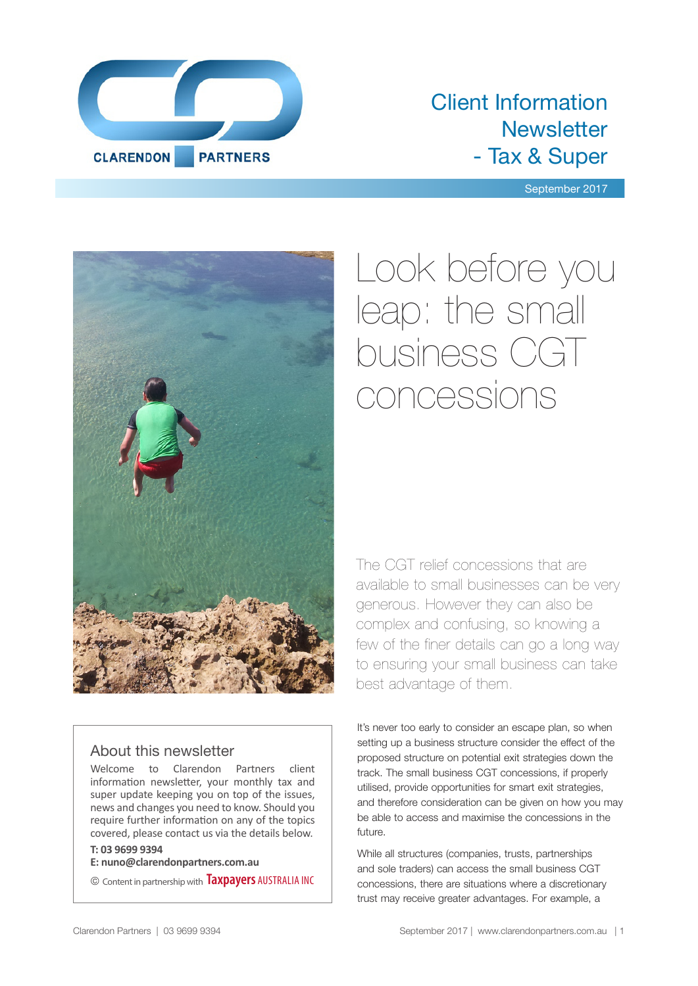

### Client Information **Newsletter** - Tax & Super

September 2017



### About this newsletter

Welcome to Clarendon Partners client information newsletter, your monthly tax and super update keeping you on top of the issues, news and changes you need to know. Should you require further information on any of the topics covered, please contact us via the details below.

### **T: 03 9699 9394**

**E: nuno@clarendonpartners.com.au**

© Content in partnership with **Taxpayers** AUSTRALIA INC

# Look before you leap: the small business CGT concessions

The CGT relief concessions that are available to small businesses can be very generous. However they can also be complex and confusing, so knowing a few of the finer details can go a long way to ensuring your small business can take best advantage of them.

It's never too early to consider an escape plan, so when setting up a business structure consider the effect of the proposed structure on potential exit strategies down the track. The small business CGT concessions, if properly utilised, provide opportunities for smart exit strategies, and therefore consideration can be given on how you may be able to access and maximise the concessions in the future.

While all structures (companies, trusts, partnerships and sole traders) can access the small business CGT concessions, there are situations where a discretionary trust may receive greater advantages. For example, a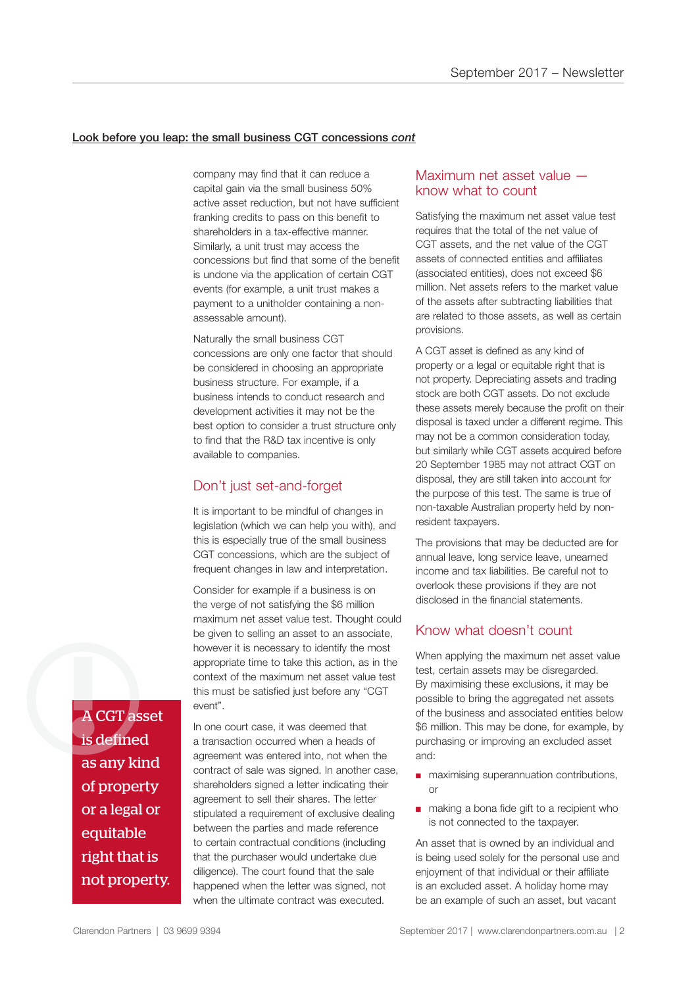### Look before you leap: the small business CGT concessions *cont*

company may find that it can reduce a capital gain via the small business 50% active asset reduction, but not have sufficient franking credits to pass on this benefit to shareholders in a tax-effective manner. Similarly, a unit trust may access the concessions but find that some of the benefit is undone via the application of certain CGT events (for example, a unit trust makes a payment to a unitholder containing a nonassessable amount).

Naturally the small business CGT concessions are only one factor that should be considered in choosing an appropriate business structure. For example, if a business intends to conduct research and development activities it may not be the best option to consider a trust structure only to find that the R&D tax incentive is only available to companies.

### Don't just set-and-forget

It is important to be mindful of changes in legislation (which we can help you with), and this is especially true of the small business CGT concessions, which are the subject of frequent changes in law and interpretation.

Consider for example if a business is on the verge of not satisfying the \$6 million maximum net asset value test. Thought could be given to selling an asset to an associate, however it is necessary to identify the most appropriate time to take this action, as in the context of the maximum net asset value test this must be satisfied just before any "CGT event".

A CGT asset is defined as any kind of property or a legal or equitable right that is not property. A CGT asset

In one court case, it was deemed that a transaction occurred when a heads of agreement was entered into, not when the contract of sale was signed. In another case, shareholders signed a letter indicating their agreement to sell their shares. The letter stipulated a requirement of exclusive dealing between the parties and made reference to certain contractual conditions (including that the purchaser would undertake due diligence). The court found that the sale happened when the letter was signed, not when the ultimate contract was executed.

### Maximum net asset value know what to count

Satisfying the maximum net asset value test requires that the total of the net value of CGT assets, and the net value of the CGT assets of connected entities and affiliates (associated entities), does not exceed \$6 million. Net assets refers to the market value of the assets after subtracting liabilities that are related to those assets, as well as certain provisions.

A CGT asset is defined as any kind of property or a legal or equitable right that is not property. Depreciating assets and trading stock are both CGT assets. Do not exclude these assets merely because the profit on their disposal is taxed under a different regime. This may not be a common consideration today, but similarly while CGT assets acquired before 20 September 1985 may not attract CGT on disposal, they are still taken into account for the purpose of this test. The same is true of non-taxable Australian property held by nonresident taxpayers.

The provisions that may be deducted are for annual leave, long service leave, unearned income and tax liabilities. Be careful not to overlook these provisions if they are not disclosed in the financial statements.

### Know what doesn't count

When applying the maximum net asset value test, certain assets may be disregarded. By maximising these exclusions, it may be possible to bring the aggregated net assets of the business and associated entities below \$6 million. This may be done, for example, by purchasing or improving an excluded asset and:

- maximising superannuation contributions, or
- making a bona fide gift to a recipient who is not connected to the taxpayer.

An asset that is owned by an individual and is being used solely for the personal use and enjoyment of that individual or their affiliate is an excluded asset. A holiday home may be an example of such an asset, but vacant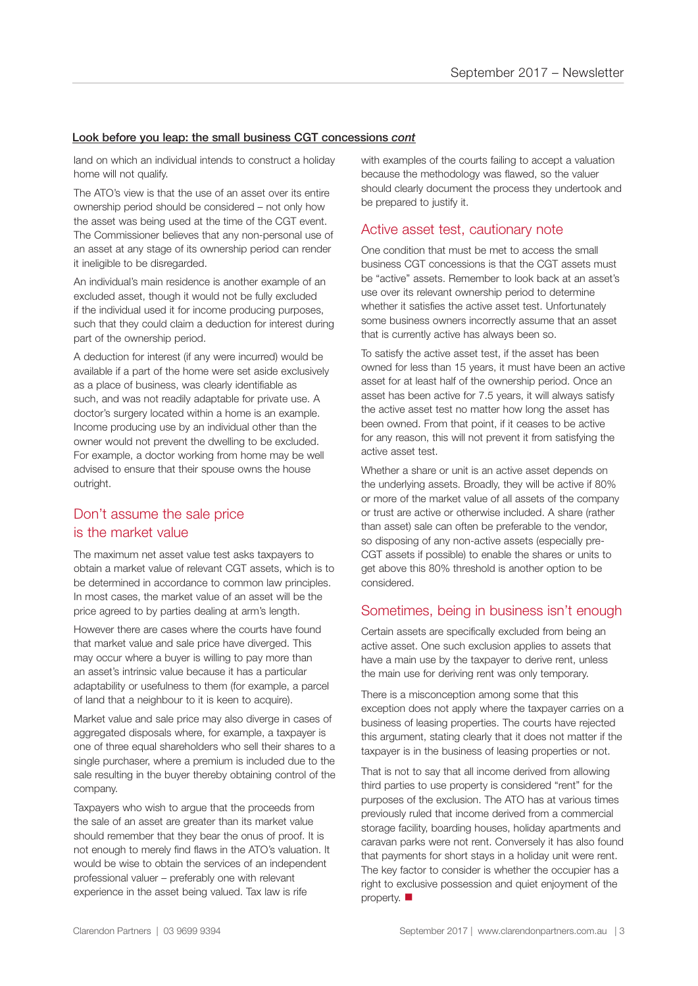### Look before you leap: the small business CGT concessions *cont*

land on which an individual intends to construct a holiday home will not qualify.

The ATO's view is that the use of an asset over its entire ownership period should be considered – not only how the asset was being used at the time of the CGT event. The Commissioner believes that any non-personal use of an asset at any stage of its ownership period can render it ineligible to be disregarded.

An individual's main residence is another example of an excluded asset, though it would not be fully excluded if the individual used it for income producing purposes, such that they could claim a deduction for interest during part of the ownership period.

A deduction for interest (if any were incurred) would be available if a part of the home were set aside exclusively as a place of business, was clearly identifiable as such, and was not readily adaptable for private use. A doctor's surgery located within a home is an example. Income producing use by an individual other than the owner would not prevent the dwelling to be excluded. For example, a doctor working from home may be well advised to ensure that their spouse owns the house outright.

### Don't assume the sale price is the market value

The maximum net asset value test asks taxpayers to obtain a market value of relevant CGT assets, which is to be determined in accordance to common law principles. In most cases, the market value of an asset will be the price agreed to by parties dealing at arm's length.

However there are cases where the courts have found that market value and sale price have diverged. This may occur where a buyer is willing to pay more than an asset's intrinsic value because it has a particular adaptability or usefulness to them (for example, a parcel of land that a neighbour to it is keen to acquire).

Market value and sale price may also diverge in cases of aggregated disposals where, for example, a taxpayer is one of three equal shareholders who sell their shares to a single purchaser, where a premium is included due to the sale resulting in the buyer thereby obtaining control of the company.

Taxpayers who wish to argue that the proceeds from the sale of an asset are greater than its market value should remember that they bear the onus of proof. It is not enough to merely find flaws in the ATO's valuation. It would be wise to obtain the services of an independent professional valuer – preferably one with relevant experience in the asset being valued. Tax law is rife

with examples of the courts failing to accept a valuation because the methodology was flawed, so the valuer should clearly document the process they undertook and be prepared to justify it.

### Active asset test, cautionary note

One condition that must be met to access the small business CGT concessions is that the CGT assets must be "active" assets. Remember to look back at an asset's use over its relevant ownership period to determine whether it satisfies the active asset test. Unfortunately some business owners incorrectly assume that an asset that is currently active has always been so.

To satisfy the active asset test, if the asset has been owned for less than 15 years, it must have been an active asset for at least half of the ownership period. Once an asset has been active for 7.5 years, it will always satisfy the active asset test no matter how long the asset has been owned. From that point, if it ceases to be active for any reason, this will not prevent it from satisfying the active asset test.

Whether a share or unit is an active asset depends on the underlying assets. Broadly, they will be active if 80% or more of the market value of all assets of the company or trust are active or otherwise included. A share (rather than asset) sale can often be preferable to the vendor, so disposing of any non-active assets (especially pre-CGT assets if possible) to enable the shares or units to get above this 80% threshold is another option to be considered.

### Sometimes, being in business isn't enough

Certain assets are specifically excluded from being an active asset. One such exclusion applies to assets that have a main use by the taxpayer to derive rent, unless the main use for deriving rent was only temporary.

There is a misconception among some that this exception does not apply where the taxpayer carries on a business of leasing properties. The courts have rejected this argument, stating clearly that it does not matter if the taxpayer is in the business of leasing properties or not.

That is not to say that all income derived from allowing third parties to use property is considered "rent" for the purposes of the exclusion. The ATO has at various times previously ruled that income derived from a commercial storage facility, boarding houses, holiday apartments and caravan parks were not rent. Conversely it has also found that payments for short stays in a holiday unit were rent. The key factor to consider is whether the occupier has a right to exclusive possession and quiet enjoyment of the property.  $\blacksquare$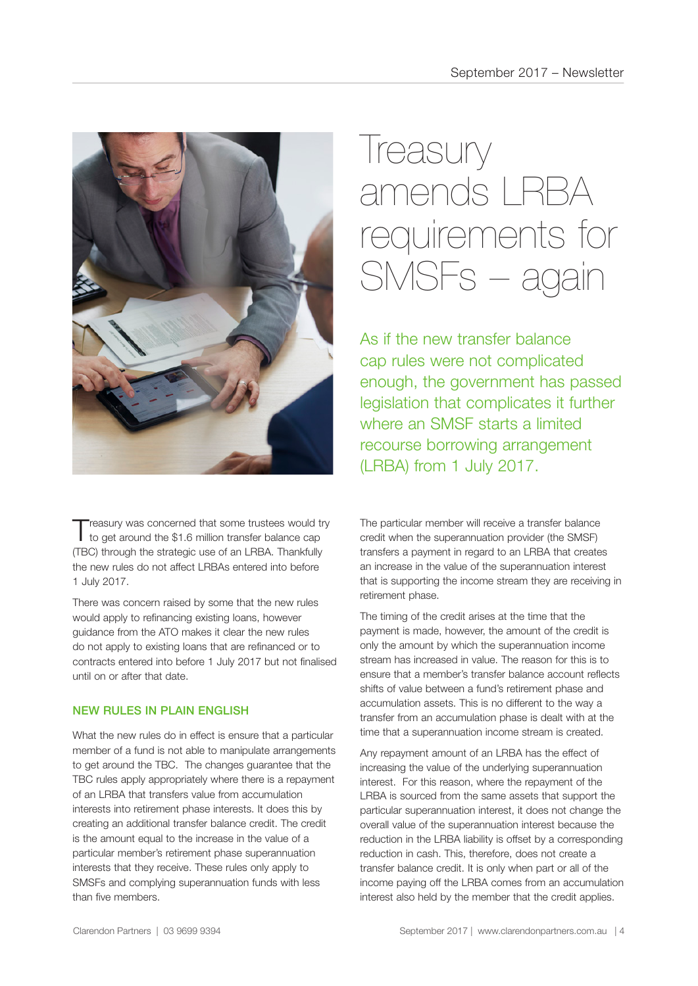

Treasury was concerned that some trustees would try<br>to get around the \$1.6 million transfer balance cap (TBC) through the strategic use of an LRBA. Thankfully the new rules do not affect LRBAs entered into before 1 July 2017.

There was concern raised by some that the new rules would apply to refinancing existing loans, however guidance from the ATO makes it clear the new rules do not apply to existing loans that are refinanced or to contracts entered into before 1 July 2017 but not finalised until on or after that date.

### NEW RULES IN PLAIN ENGLISH

What the new rules do in effect is ensure that a particular member of a fund is not able to manipulate arrangements to get around the TBC. The changes guarantee that the TBC rules apply appropriately where there is a repayment of an LRBA that transfers value from accumulation interests into retirement phase interests. It does this by creating an additional transfer balance credit. The credit is the amount equal to the increase in the value of a particular member's retirement phase superannuation interests that they receive. These rules only apply to SMSFs and complying superannuation funds with less than five members.

### Ireasury amends LRBA requirements for SMSFs – again

As if the new transfer balance cap rules were not complicated enough, the government has passed legislation that complicates it further where an SMSF starts a limited recourse borrowing arrangement (LRBA) from 1 July 2017.

The particular member will receive a transfer balance credit when the superannuation provider (the SMSF) transfers a payment in regard to an LRBA that creates an increase in the value of the superannuation interest that is supporting the income stream they are receiving in retirement phase.

The timing of the credit arises at the time that the payment is made, however, the amount of the credit is only the amount by which the superannuation income stream has increased in value. The reason for this is to ensure that a member's transfer balance account reflects shifts of value between a fund's retirement phase and accumulation assets. This is no different to the way a transfer from an accumulation phase is dealt with at the time that a superannuation income stream is created.

Any repayment amount of an LRBA has the effect of increasing the value of the underlying superannuation interest. For this reason, where the repayment of the LRBA is sourced from the same assets that support the particular superannuation interest, it does not change the overall value of the superannuation interest because the reduction in the LRBA liability is offset by a corresponding reduction in cash. This, therefore, does not create a transfer balance credit. It is only when part or all of the income paying off the LRBA comes from an accumulation interest also held by the member that the credit applies.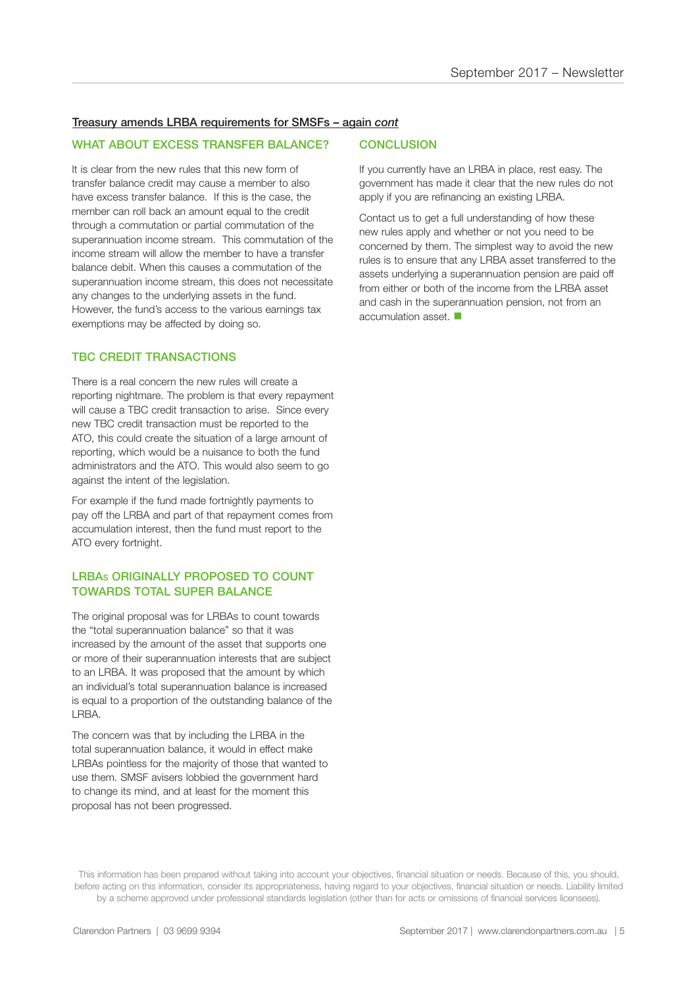#### Treasury amends LRBA requirements for SMSFs – again *cont*

#### WHAT ABOUT EXCESS TRANSFER BALANCE?

It is clear from the new rules that this new form of transfer balance credit may cause a member to also have excess transfer balance. If this is the case, the member can roll back an amount equal to the credit through a commutation or partial commutation of the superannuation income stream. This commutation of the income stream will allow the member to have a transfer balance debit. When this causes a commutation of the superannuation income stream, this does not necessitate any changes to the underlying assets in the fund. However, the fund's access to the various earnings tax exemptions may be affected by doing so.

### TBC CREDIT TRANSACTIONS

There is a real concern the new rules will create a reporting nightmare. The problem is that every repayment will cause a TBC credit transaction to arise. Since every new TBC credit transaction must be reported to the ATO, this could create the situation of a large amount of reporting, which would be a nuisance to both the fund administrators and the ATO. This would also seem to go against the intent of the legislation.

For example if the fund made fortnightly payments to pay off the LRBA and part of that repayment comes from accumulation interest, then the fund must report to the ATO every fortnight.

### LRBAS ORIGINALLY PROPOSED TO COUNT TOWARDS TOTAL SUPER BALANCE

The original proposal was for LRBAs to count towards the "total superannuation balance" so that it was increased by the amount of the asset that supports one or more of their superannuation interests that are subject to an LRBA. It was proposed that the amount by which an individual's total superannuation balance is increased is equal to a proportion of the outstanding balance of the LRBA.

The concern was that by including the LRBA in the total superannuation balance, it would in effect make LRBAs pointless for the majority of those that wanted to use them. SMSF avisers lobbied the government hard to change its mind, and at least for the moment this proposal has not been progressed.

#### **CONCLUSION**

If you currently have an LRBA in place, rest easy. The government has made it clear that the new rules do not apply if you are refinancing an existing LRBA.

Contact us to get a full understanding of how these new rules apply and whether or not you need to be concerned by them. The simplest way to avoid the new rules is to ensure that any LRBA asset transferred to the assets underlying a superannuation pension are paid off from either or both of the income from the LRBA asset and cash in the superannuation pension, not from an accumulation asset.  $\blacksquare$ 

This information has been prepared without taking into account your objectives, financial situation or needs. Because of this, you should, before acting on this information, consider its appropriateness, having regard to your objectives, financial situation or needs. Liability limited by a scheme approved under professional standards legislation (other than for acts or omissions of financial services licensees).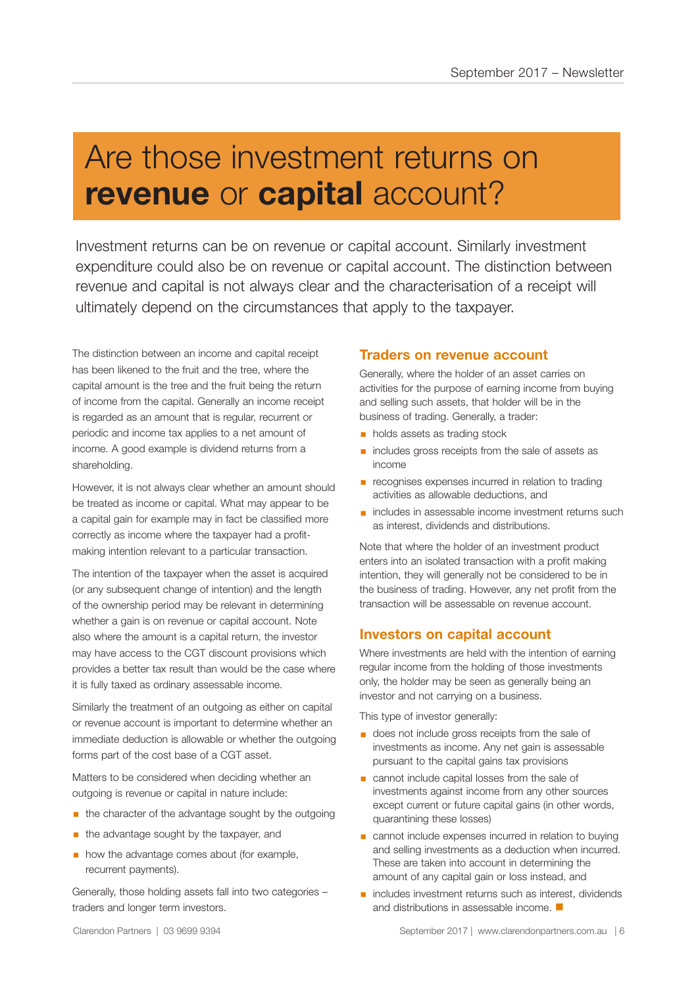### Are those investment returns on **revenue** or **capital** account?

Investment returns can be on revenue or capital account. Similarly investment expenditure could also be on revenue or capital account. The distinction between revenue and capital is not always clear and the characterisation of a receipt will ultimately depend on the circumstances that apply to the taxpayer.

The distinction between an income and capital receipt has been likened to the fruit and the tree, where the capital amount is the tree and the fruit being the return of income from the capital. Generally an income receipt is regarded as an amount that is regular, recurrent or periodic and income tax applies to a net amount of income. A good example is dividend returns from a shareholding.

However, it is not always clear whether an amount should be treated as income or capital. What may appear to be a capital gain for example may in fact be classified more correctly as income where the taxpayer had a profitmaking intention relevant to a particular transaction.

The intention of the taxpayer when the asset is acquired (or any subsequent change of intention) and the length of the ownership period may be relevant in determining whether a gain is on revenue or capital account. Note also where the amount is a capital return, the investor may have access to the CGT discount provisions which provides a better tax result than would be the case where it is fully taxed as ordinary assessable income.

Similarly the treatment of an outgoing as either on capital or revenue account is important to determine whether an immediate deduction is allowable or whether the outgoing forms part of the cost base of a CGT asset.

Matters to be considered when deciding whether an outgoing is revenue or capital in nature include:

- **the character of the advantage sought by the outgoing**
- the advantage sought by the taxpayer, and
- **how the advantage comes about (for example,** recurrent payments).

Generally, those holding assets fall into two categories – traders and longer term investors.

### **Traders on revenue account**

Generally, where the holder of an asset carries on activities for the purpose of earning income from buying and selling such assets, that holder will be in the business of trading. Generally, a trader:

- **holds assets as trading stock**
- includes gross receipts from the sale of assets as income
- recognises expenses incurred in relation to trading activities as allowable deductions, and
- includes in assessable income investment returns such as interest, dividends and distributions.

Note that where the holder of an investment product enters into an isolated transaction with a profit making intention, they will generally not be considered to be in the business of trading. However, any net profit from the transaction will be assessable on revenue account.

### **Investors on capital account**

Where investments are held with the intention of earning regular income from the holding of those investments only, the holder may be seen as generally being an investor and not carrying on a business.

This type of investor generally:

- does not include gross receipts from the sale of investments as income. Any net gain is assessable pursuant to the capital gains tax provisions
- cannot include capital losses from the sale of investments against income from any other sources except current or future capital gains (in other words, quarantining these losses)
- cannot include expenses incurred in relation to buying and selling investments as a deduction when incurred. These are taken into account in determining the amount of any capital gain or loss instead, and
- includes investment returns such as interest, dividends and distributions in assessable income.  $\blacksquare$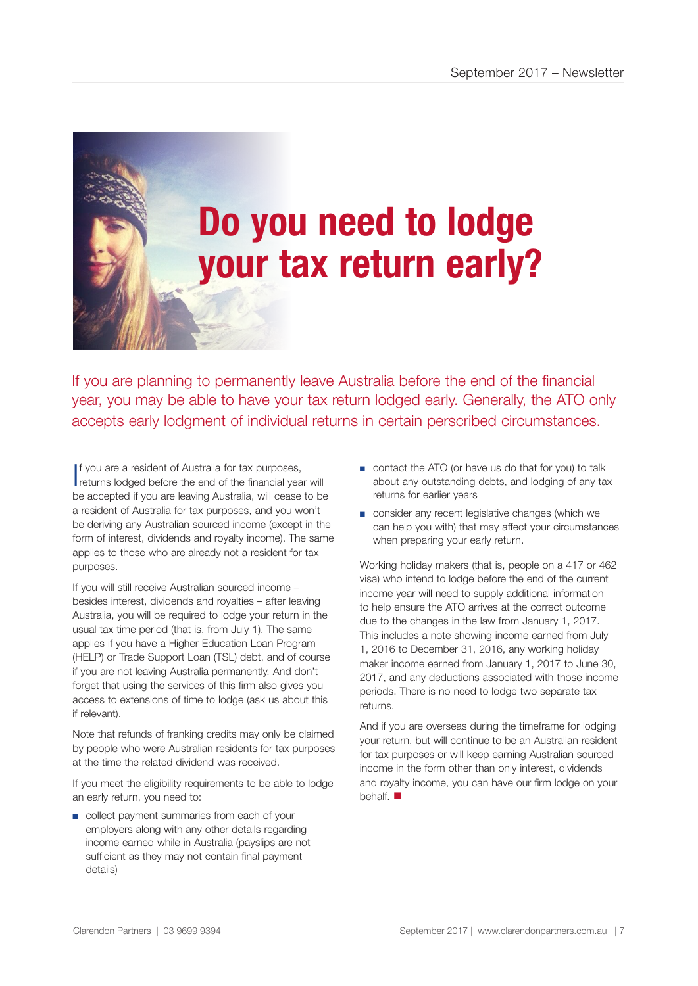## **Do you need to lodge your tax return early?**

If you are planning to permanently leave Australia before the end of the financial year, you may be able to have your tax return lodged early. Generally, the ATO only accepts early lodgment of individual returns in certain perscribed circumstances.

I f you are a resident of Australia for tax purposes, returns lodged before the end of the financial year will be accepted if you are leaving Australia, will cease to be a resident of Australia for tax purposes, and you won't be deriving any Australian sourced income (except in the form of interest, dividends and royalty income). The same applies to those who are already not a resident for tax purposes.

If you will still receive Australian sourced income – besides interest, dividends and royalties – after leaving Australia, you will be required to lodge your return in the usual tax time period (that is, from July 1). The same applies if you have a Higher Education Loan Program (HELP) or Trade Support Loan (TSL) debt, and of course if you are not leaving Australia permanently. And don't forget that using the services of this firm also gives you access to extensions of time to lodge (ask us about this if relevant).

Note that refunds of franking credits may only be claimed by people who were Australian residents for tax purposes at the time the related dividend was received.

If you meet the eligibility requirements to be able to lodge an early return, you need to:

■ collect payment summaries from each of your employers along with any other details regarding income earned while in Australia (payslips are not sufficient as they may not contain final payment details)

- contact the ATO (or have us do that for you) to talk about any outstanding debts, and lodging of any tax returns for earlier years
- consider any recent legislative changes (which we can help you with) that may affect your circumstances when preparing your early return.

Working holiday makers (that is, people on a 417 or 462 visa) who intend to lodge before the end of the current income year will need to supply additional information to help ensure the ATO arrives at the correct outcome due to the changes in the law from January 1, 2017. This includes a note showing income earned from July 1, 2016 to December 31, 2016, any working holiday maker income earned from January 1, 2017 to June 30, 2017, and any deductions associated with those income periods. There is no need to lodge two separate tax returns.

And if you are overseas during the timeframe for lodging your return, but will continue to be an Australian resident for tax purposes or will keep earning Australian sourced income in the form other than only interest, dividends and royalty income, you can have our firm lodge on your behalf.  $\blacksquare$